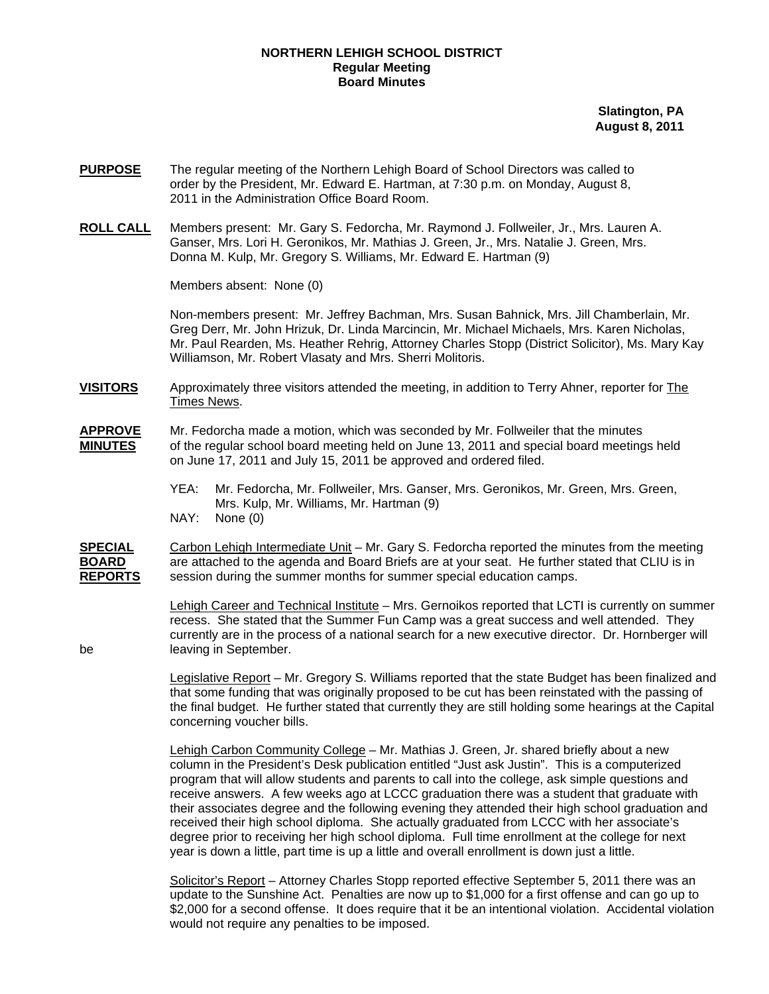## **NORTHERN LEHIGH SCHOOL DISTRICT Regular Meeting Board Minutes**

**Slatington, PA August 8, 2011**

- **PURPOSE** The regular meeting of the Northern Lehigh Board of School Directors was called to order by the President, Mr. Edward E. Hartman, at 7:30 p.m. on Monday, August 8, 2011 in the Administration Office Board Room.
- **ROLL CALL** Members present: Mr. Gary S. Fedorcha, Mr. Raymond J. Follweiler, Jr., Mrs. Lauren A. Ganser, Mrs. Lori H. Geronikos, Mr. Mathias J. Green, Jr., Mrs. Natalie J. Green, Mrs. Donna M. Kulp, Mr. Gregory S. Williams, Mr. Edward E. Hartman (9)

Members absent: None (0)

Non-members present: Mr. Jeffrey Bachman, Mrs. Susan Bahnick, Mrs. Jill Chamberlain, Mr. Greg Derr, Mr. John Hrizuk, Dr. Linda Marcincin, Mr. Michael Michaels, Mrs. Karen Nicholas, Mr. Paul Rearden, Ms. Heather Rehrig, Attorney Charles Stopp (District Solicitor), Ms. Mary Kay Williamson, Mr. Robert Vlasaty and Mrs. Sherri Molitoris.

**VISITORS** Approximately three visitors attended the meeting, in addition to Terry Ahner, reporter for The Times News.

- **APPROVE** Mr. Fedorcha made a motion, which was seconded by Mr. Follweiler that the minutes **MINUTES** of the regular school board meeting held on June 13, 2011 and special board meetings held on June 17, 2011 and July 15, 2011 be approved and ordered filed.
	- YEA: Mr. Fedorcha, Mr. Follweiler, Mrs. Ganser, Mrs. Geronikos, Mr. Green, Mrs. Green, Mrs. Kulp, Mr. Williams, Mr. Hartman (9) NAY: None (0)
- **SPECIAL** Carbon Lehigh Intermediate Unit Mr. Gary S. Fedorcha reported the minutes from the meeting **BOARD** are attached to the agenda and Board Briefs are at your seat. He further stated that CLIU is in **REPORTS** session during the summer months for summer special education camps.

 Lehigh Career and Technical Institute – Mrs. Gernoikos reported that LCTI is currently on summer recess. She stated that the Summer Fun Camp was a great success and well attended. They currently are in the process of a national search for a new executive director. Dr. Hornberger will be leaving in September.

> Legislative Report – Mr. Gregory S. Williams reported that the state Budget has been finalized and that some funding that was originally proposed to be cut has been reinstated with the passing of the final budget. He further stated that currently they are still holding some hearings at the Capital concerning voucher bills.

Lehigh Carbon Community College – Mr. Mathias J. Green, Jr. shared briefly about a new column in the President's Desk publication entitled "Just ask Justin". This is a computerized program that will allow students and parents to call into the college, ask simple questions and receive answers. A few weeks ago at LCCC graduation there was a student that graduate with their associates degree and the following evening they attended their high school graduation and received their high school diploma. She actually graduated from LCCC with her associate's degree prior to receiving her high school diploma. Full time enrollment at the college for next year is down a little, part time is up a little and overall enrollment is down just a little.

 Solicitor's Report – Attorney Charles Stopp reported effective September 5, 2011 there was an update to the Sunshine Act. Penalties are now up to \$1,000 for a first offense and can go up to \$2,000 for a second offense. It does require that it be an intentional violation. Accidental violation would not require any penalties to be imposed.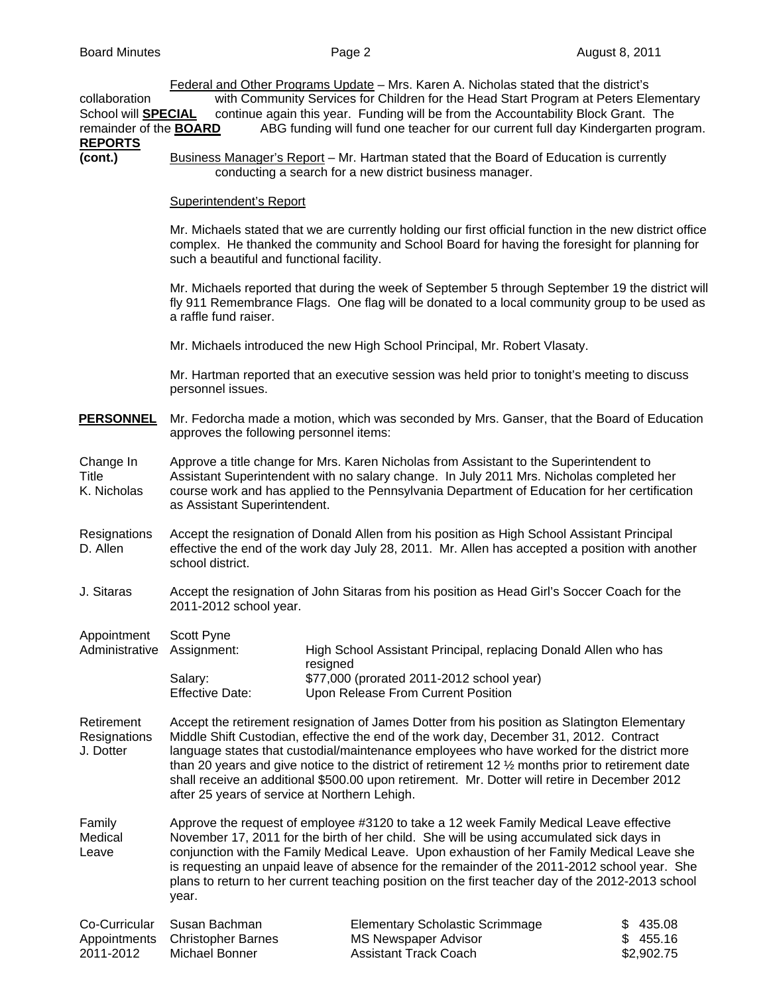Federal and Other Programs Update – Mrs. Karen A. Nicholas stated that the district's collaboration with Community Services for Children for the Head Start Program at Peters Elementary School will **SPECIAL** continue again this year. Funding will be from the Accountability Block Grant. The remainder of the **BOARD** ABG funding will fund one teacher for our current full day Kindergarten program. **REPORTS (cont.)** Business Manager's Report – Mr. Hartman stated that the Board of Education is currently conducting a search for a new district business manager. Superintendent's Report Mr. Michaels stated that we are currently holding our first official function in the new district office complex. He thanked the community and School Board for having the foresight for planning for such a beautiful and functional facility. Mr. Michaels reported that during the week of September 5 through September 19 the district will fly 911 Remembrance Flags. One flag will be donated to a local community group to be used as a raffle fund raiser. Mr. Michaels introduced the new High School Principal, Mr. Robert Vlasaty. Mr. Hartman reported that an executive session was held prior to tonight's meeting to discuss personnel issues. **PERSONNEL** Mr. Fedorcha made a motion, which was seconded by Mrs. Ganser, that the Board of Education approves the following personnel items: Change In Approve a title change for Mrs. Karen Nicholas from Assistant to the Superintendent to Title Assistant Superintendent with no salary change. In July 2011 Mrs. Nicholas completed her K. Nicholas course work and has applied to the Pennsylvania Department of Education for her certification as Assistant Superintendent. Resignations Accept the resignation of Donald Allen from his position as High School Assistant Principal<br>D. Allen effective the end of the work day July 28, 2011. Mr. Allen has accepted a position with ano effective the end of the work day July 28, 2011. Mr. Allen has accepted a position with another school district. J. Sitaras Accept the resignation of John Sitaras from his position as Head Girl's Soccer Coach for the 2011-2012 school year. Appointment Scott Pyne Administrative Assignment: High School Assistant Principal, replacing Donald Allen who has resigned Salary: \$77,000 (prorated 2011-2012 school year) Effective Date: Upon Release From Current Position Retirement Accept the retirement resignation of James Dotter from his position as Slatington Elementary Resignations Middle Shift Custodian, effective the end of the work day, December 31, 2012. Contract J. Dotter language states that custodial/maintenance employees who have worked for the district more than 20 years and give notice to the district of retirement 12 ½ months prior to retirement date shall receive an additional \$500.00 upon retirement. Mr. Dotter will retire in December 2012 after 25 years of service at Northern Lehigh. Family Approve the request of employee #3120 to take a 12 week Family Medical Leave effective Medical November 17, 2011 for the birth of her child. She will be using accumulated sick days in Leave conjunction with the Family Medical Leave. Upon exhaustion of her Family Medical Leave she is requesting an unpaid leave of absence for the remainder of the 2011-2012 school year. She plans to return to her current teaching position on the first teacher day of the 2012-2013 school year. Co-Curricular Susan Bachman Elementary Scholastic Scrimmage \$ 435.08

|           | Co-Curricular Susan Bachman     | Elementary Scholastic Scrimmage | ა 435.08   |
|-----------|---------------------------------|---------------------------------|------------|
|           | Appointments Christopher Barnes | MS Newspaper Advisor            | \$455.16   |
| 2011-2012 | Michael Bonner                  | Assistant Track Coach           | \$2,902.75 |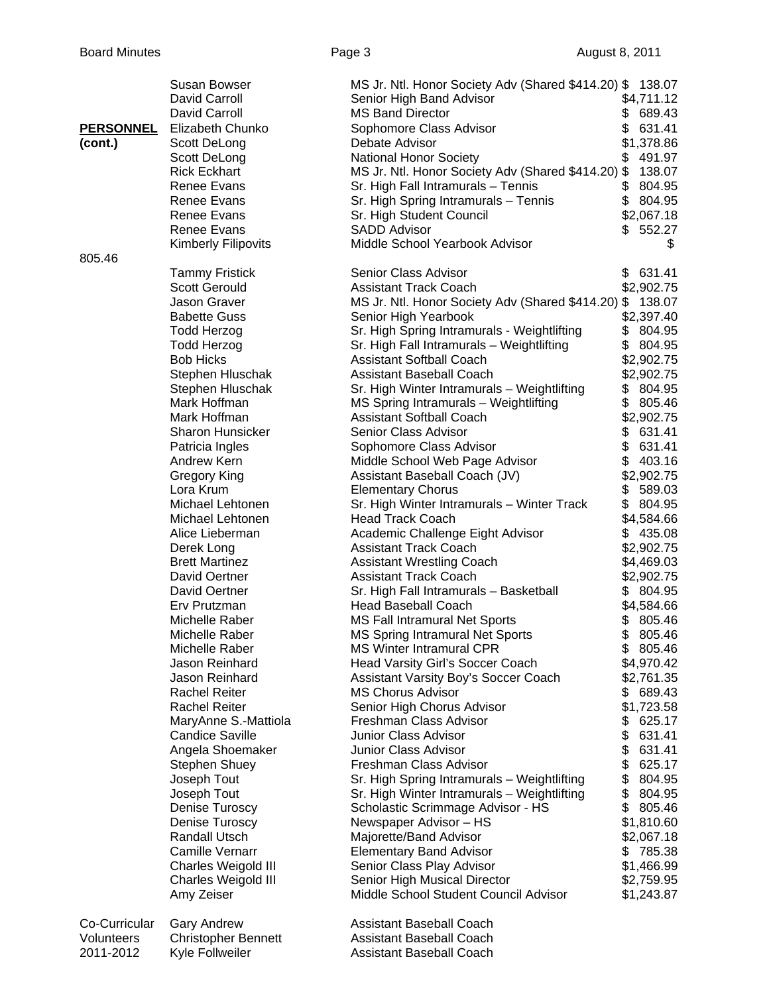|                  | Susan Bowser               | MS Jr. Ntl. Honor Society Adv (Shared \$414.20) \$ 138.07 |               |
|------------------|----------------------------|-----------------------------------------------------------|---------------|
|                  | David Carroll              | Senior High Band Advisor                                  | \$4,711.12    |
|                  | David Carroll              | <b>MS Band Director</b>                                   | 689.43<br>\$  |
| <b>PERSONNEL</b> | Elizabeth Chunko           | Sophomore Class Advisor                                   | \$<br>631.41  |
| (cont.)          | Scott DeLong               | Debate Advisor                                            | \$1,378.86    |
|                  | Scott DeLong               | <b>National Honor Society</b>                             | 491.97<br>\$  |
|                  | <b>Rick Eckhart</b>        | MS Jr. Ntl. Honor Society Adv (Shared \$414.20) \$        | 138.07        |
|                  | Renee Evans                | Sr. High Fall Intramurals - Tennis                        | \$<br>804.95  |
|                  | Renee Evans                | Sr. High Spring Intramurals - Tennis                      | \$<br>804.95  |
|                  | Renee Evans                | Sr. High Student Council                                  | \$2,067.18    |
|                  | Renee Evans                | <b>SADD Advisor</b>                                       | 552.27<br>\$. |
|                  | <b>Kimberly Filipovits</b> | Middle School Yearbook Advisor                            | \$            |
| 805.46           |                            |                                                           |               |
|                  | <b>Tammy Fristick</b>      | Senior Class Advisor                                      | \$631.41      |
|                  | <b>Scott Gerould</b>       | <b>Assistant Track Coach</b>                              | \$2,902.75    |
|                  | Jason Graver               | MS Jr. Ntl. Honor Society Adv (Shared \$414.20) \$        | 138.07        |
|                  | <b>Babette Guss</b>        | Senior High Yearbook                                      | \$2,397.40    |
|                  | <b>Todd Herzog</b>         | Sr. High Spring Intramurals - Weightlifting               | \$<br>804.95  |
|                  | <b>Todd Herzog</b>         | Sr. High Fall Intramurals - Weightlifting                 | \$<br>804.95  |
|                  | <b>Bob Hicks</b>           | <b>Assistant Softball Coach</b>                           | \$2,902.75    |
|                  | Stephen Hluschak           | Assistant Baseball Coach                                  |               |
|                  |                            |                                                           | \$2,902.75    |
|                  | Stephen Hluschak           | Sr. High Winter Intramurals - Weightlifting               | \$<br>804.95  |
|                  | Mark Hoffman               | MS Spring Intramurals - Weightlifting                     | \$<br>805.46  |
|                  | Mark Hoffman               | <b>Assistant Softball Coach</b>                           | \$2,902.75    |
|                  | <b>Sharon Hunsicker</b>    | Senior Class Advisor                                      | 631.41<br>\$  |
|                  | Patricia Ingles            | Sophomore Class Advisor                                   | \$<br>631.41  |
|                  | Andrew Kern                | Middle School Web Page Advisor                            | \$<br>403.16  |
|                  | Gregory King               | Assistant Baseball Coach (JV)                             | \$2,902.75    |
|                  | Lora Krum                  | <b>Elementary Chorus</b>                                  | 589.03<br>\$  |
|                  | Michael Lehtonen           | Sr. High Winter Intramurals - Winter Track                | \$<br>804.95  |
|                  | Michael Lehtonen           | <b>Head Track Coach</b>                                   | \$4,584.66    |
|                  | Alice Lieberman            | Academic Challenge Eight Advisor                          | \$435.08      |
|                  | Derek Long                 | <b>Assistant Track Coach</b>                              | \$2,902.75    |
|                  | <b>Brett Martinez</b>      | <b>Assistant Wrestling Coach</b>                          | \$4,469.03    |
|                  | David Oertner              | <b>Assistant Track Coach</b>                              | \$2,902.75    |
|                  | David Oertner              | Sr. High Fall Intramurals - Basketball                    | \$804.95      |
|                  | Erv Prutzman               | <b>Head Baseball Coach</b>                                | \$4,584.66    |
|                  | Michelle Raber             | <b>MS Fall Intramural Net Sports</b>                      | 805.46<br>\$  |
|                  | Michelle Raber             | <b>MS Spring Intramural Net Sports</b>                    | \$<br>805.46  |
|                  | Michelle Raber             | <b>MS Winter Intramural CPR</b>                           | \$805.46      |
|                  | Jason Reinhard             | Head Varsity Girl's Soccer Coach                          | \$4,970.42    |
|                  | Jason Reinhard             | Assistant Varsity Boy's Soccer Coach                      | \$2,761.35    |
|                  | <b>Rachel Reiter</b>       | <b>MS Chorus Advisor</b>                                  | 689.43<br>\$  |
|                  | <b>Rachel Reiter</b>       | Senior High Chorus Advisor                                | \$1,723.58    |
|                  | MaryAnne S.-Mattiola       | Freshman Class Advisor                                    | \$<br>625.17  |
|                  | <b>Candice Saville</b>     | <b>Junior Class Advisor</b>                               | \$<br>631.41  |
|                  | Angela Shoemaker           | Junior Class Advisor                                      | \$<br>631.41  |
|                  | Stephen Shuey              | Freshman Class Advisor                                    | \$<br>625.17  |
|                  | Joseph Tout                | Sr. High Spring Intramurals - Weightlifting               | \$<br>804.95  |
|                  | Joseph Tout                | Sr. High Winter Intramurals - Weightlifting               | \$<br>804.95  |
|                  | Denise Turoscy             | Scholastic Scrimmage Advisor - HS                         | \$<br>805.46  |
|                  | Denise Turoscy             | Newspaper Advisor - HS                                    | \$1,810.60    |
|                  | Randall Utsch              | Majorette/Band Advisor                                    | \$2,067.18    |
|                  | <b>Camille Vernarr</b>     | <b>Elementary Band Advisor</b>                            | \$<br>785.38  |
|                  | Charles Weigold III        | Senior Class Play Advisor                                 | \$1,466.99    |
|                  | Charles Weigold III        | Senior High Musical Director                              | \$2,759.95    |
|                  | Amy Zeiser                 | Middle School Student Council Advisor                     | \$1,243.87    |
| Co-Curricular    | <b>Gary Andrew</b>         | Assistant Baseball Coach                                  |               |
| Volunteers       | <b>Christopher Bennett</b> | Assistant Baseball Coach                                  |               |
| 2011-2012        | Kyle Follweiler            | Assistant Baseball Coach                                  |               |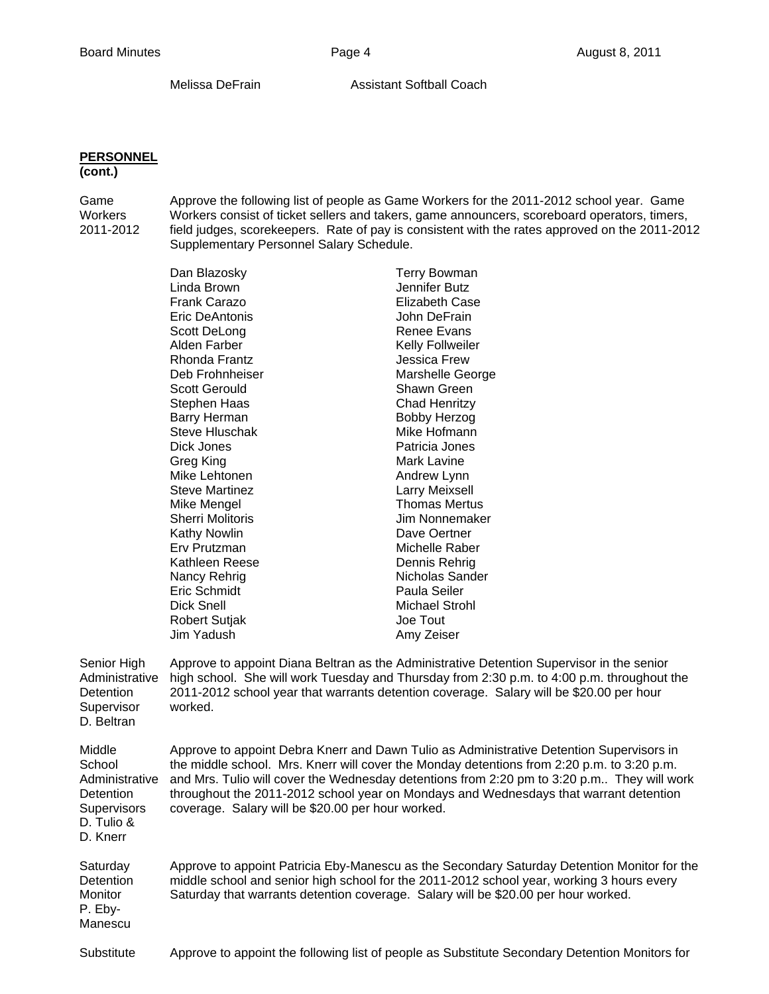Melissa DeFrain **Assistant Softball Coach** 

## **PERSONNEL**

## **(cont.)**

Game Approve the following list of people as Game Workers for the 2011-2012 school year. Game<br>Workers Workers consist of ticket sellers and takers, game announcers, scoreboard operators, timers, Workers consist of ticket sellers and takers, game announcers, scoreboard operators, timers, 2011-2012 field judges, scorekeepers. Rate of pay is consistent with the rates approved on the 2011-2012 Supplementary Personnel Salary Schedule.

|                                                                                          | Dan Blazosky                                                                                                                                                                                                                                                                                                                                                                                                                       | <b>Terry Bowman</b>                                                                                                                                                                                                                                                                |  |
|------------------------------------------------------------------------------------------|------------------------------------------------------------------------------------------------------------------------------------------------------------------------------------------------------------------------------------------------------------------------------------------------------------------------------------------------------------------------------------------------------------------------------------|------------------------------------------------------------------------------------------------------------------------------------------------------------------------------------------------------------------------------------------------------------------------------------|--|
|                                                                                          | Linda Brown                                                                                                                                                                                                                                                                                                                                                                                                                        | Jennifer Butz                                                                                                                                                                                                                                                                      |  |
|                                                                                          | <b>Frank Carazo</b>                                                                                                                                                                                                                                                                                                                                                                                                                | Elizabeth Case                                                                                                                                                                                                                                                                     |  |
|                                                                                          | Eric DeAntonis                                                                                                                                                                                                                                                                                                                                                                                                                     | John DeFrain                                                                                                                                                                                                                                                                       |  |
|                                                                                          | Scott DeLong                                                                                                                                                                                                                                                                                                                                                                                                                       | Renee Evans                                                                                                                                                                                                                                                                        |  |
|                                                                                          | Alden Farber                                                                                                                                                                                                                                                                                                                                                                                                                       | <b>Kelly Follweiler</b>                                                                                                                                                                                                                                                            |  |
|                                                                                          | Rhonda Frantz                                                                                                                                                                                                                                                                                                                                                                                                                      | <b>Jessica Frew</b>                                                                                                                                                                                                                                                                |  |
|                                                                                          | Deb Frohnheiser                                                                                                                                                                                                                                                                                                                                                                                                                    | Marshelle George                                                                                                                                                                                                                                                                   |  |
|                                                                                          | <b>Scott Gerould</b>                                                                                                                                                                                                                                                                                                                                                                                                               | Shawn Green                                                                                                                                                                                                                                                                        |  |
|                                                                                          | Stephen Haas                                                                                                                                                                                                                                                                                                                                                                                                                       | <b>Chad Henritzy</b>                                                                                                                                                                                                                                                               |  |
|                                                                                          | Barry Herman                                                                                                                                                                                                                                                                                                                                                                                                                       | <b>Bobby Herzog</b>                                                                                                                                                                                                                                                                |  |
|                                                                                          | <b>Steve Hluschak</b>                                                                                                                                                                                                                                                                                                                                                                                                              | Mike Hofmann                                                                                                                                                                                                                                                                       |  |
|                                                                                          | Dick Jones                                                                                                                                                                                                                                                                                                                                                                                                                         | Patricia Jones                                                                                                                                                                                                                                                                     |  |
|                                                                                          | Greg King                                                                                                                                                                                                                                                                                                                                                                                                                          | <b>Mark Lavine</b>                                                                                                                                                                                                                                                                 |  |
|                                                                                          | Mike Lehtonen                                                                                                                                                                                                                                                                                                                                                                                                                      | Andrew Lynn                                                                                                                                                                                                                                                                        |  |
|                                                                                          | <b>Steve Martinez</b>                                                                                                                                                                                                                                                                                                                                                                                                              | Larry Meixsell                                                                                                                                                                                                                                                                     |  |
|                                                                                          | Mike Mengel                                                                                                                                                                                                                                                                                                                                                                                                                        | <b>Thomas Mertus</b>                                                                                                                                                                                                                                                               |  |
|                                                                                          | <b>Sherri Molitoris</b>                                                                                                                                                                                                                                                                                                                                                                                                            | Jim Nonnemaker                                                                                                                                                                                                                                                                     |  |
|                                                                                          | <b>Kathy Nowlin</b>                                                                                                                                                                                                                                                                                                                                                                                                                | Dave Oertner                                                                                                                                                                                                                                                                       |  |
|                                                                                          | Erv Prutzman                                                                                                                                                                                                                                                                                                                                                                                                                       | Michelle Raber                                                                                                                                                                                                                                                                     |  |
|                                                                                          | Kathleen Reese                                                                                                                                                                                                                                                                                                                                                                                                                     | Dennis Rehrig                                                                                                                                                                                                                                                                      |  |
|                                                                                          | Nancy Rehrig                                                                                                                                                                                                                                                                                                                                                                                                                       | Nicholas Sander                                                                                                                                                                                                                                                                    |  |
|                                                                                          | Eric Schmidt                                                                                                                                                                                                                                                                                                                                                                                                                       | Paula Seiler                                                                                                                                                                                                                                                                       |  |
|                                                                                          | Dick Snell                                                                                                                                                                                                                                                                                                                                                                                                                         | <b>Michael Strohl</b>                                                                                                                                                                                                                                                              |  |
|                                                                                          | <b>Robert Sutjak</b>                                                                                                                                                                                                                                                                                                                                                                                                               | Joe Tout                                                                                                                                                                                                                                                                           |  |
|                                                                                          | Jim Yadush                                                                                                                                                                                                                                                                                                                                                                                                                         | Amy Zeiser                                                                                                                                                                                                                                                                         |  |
|                                                                                          |                                                                                                                                                                                                                                                                                                                                                                                                                                    |                                                                                                                                                                                                                                                                                    |  |
| Senior High<br>Administrative<br>Detention<br>Supervisor<br>D. Beltran                   | worked.                                                                                                                                                                                                                                                                                                                                                                                                                            | Approve to appoint Diana Beltran as the Administrative Detention Supervisor in the senior<br>high school. She will work Tuesday and Thursday from 2:30 p.m. to 4:00 p.m. throughout the<br>2011-2012 school year that warrants detention coverage. Salary will be \$20.00 per hour |  |
| Middle<br>School<br>Administrative<br>Detention<br>Supervisors<br>D. Tulio &<br>D. Knerr | Approve to appoint Debra Knerr and Dawn Tulio as Administrative Detention Supervisors in<br>the middle school. Mrs. Knerr will cover the Monday detentions from 2:20 p.m. to 3:20 p.m.<br>and Mrs. Tulio will cover the Wednesday detentions from 2:20 pm to 3:20 p.m They will work<br>throughout the 2011-2012 school year on Mondays and Wednesdays that warrant detention<br>coverage. Salary will be \$20.00 per hour worked. |                                                                                                                                                                                                                                                                                    |  |
| Saturday<br>Detention<br>Monitor<br>P. Eby-<br>Manescu                                   | Approve to appoint Patricia Eby-Manescu as the Secondary Saturday Detention Monitor for the<br>middle school and senior high school for the 2011-2012 school year, working 3 hours every<br>Saturday that warrants detention coverage. Salary will be \$20.00 per hour worked.                                                                                                                                                     |                                                                                                                                                                                                                                                                                    |  |
| Substitute                                                                               |                                                                                                                                                                                                                                                                                                                                                                                                                                    | Approve to appoint the following list of people as Substitute Secondary Detention Monitors for                                                                                                                                                                                     |  |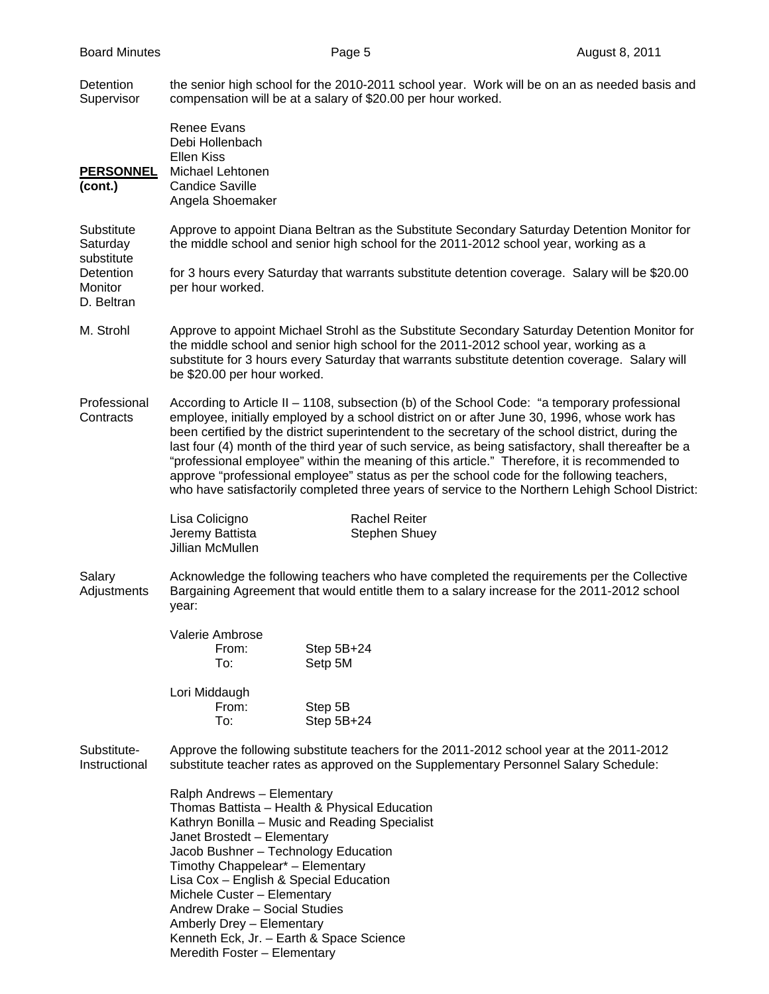Detention the senior high school for the 2010-2011 school year. Work will be on an as needed basis and Supervisor compensation will be at a salary of \$20.00 per hour worked.

 Renee Evans Debi Hollenbach Ellen Kiss **PERSONNEL** Michael Lehtonen **(cont.)** Candice Saville Angela Shoemaker Substitute Approve to appoint Diana Beltran as the Substitute Secondary Saturday Detention Monitor for Saturday the middle school and senior high school for the 2011-2012 school year, working as a substitute Detention for 3 hours every Saturday that warrants substitute detention coverage. Salary will be \$20.00 Monitor per hour worked. D. Beltran M. Strohl Approve to appoint Michael Strohl as the Substitute Secondary Saturday Detention Monitor for the middle school and senior high school for the 2011-2012 school year, working as a substitute for 3 hours every Saturday that warrants substitute detention coverage. Salary will be \$20.00 per hour worked. Professional According to Article II – 1108, subsection (b) of the School Code: "a temporary professional Contracts employee, initially employed by a school district on or after June 30, 1996, whose work has been certified by the district superintendent to the secretary of the school district, during the last four (4) month of the third year of such service, as being satisfactory, shall thereafter be a "professional employee" within the meaning of this article." Therefore, it is recommended to approve "professional employee" status as per the school code for the following teachers, who have satisfactorily completed three years of service to the Northern Lehigh School District: Lisa Colicigno **Rachel Reiter** Jeremy Battista Stephen Shuey Jillian McMullen Salary Acknowledge the following teachers who have completed the requirements per the Collective Adjustments Bargaining Agreement that would entitle them to a salary increase for the 2011-2012 school year: Valerie Ambrose From: Step 5B+24 To: Setp 5M Lori Middaugh From: Step 5B To: Step 5B+24 Substitute- Approve the following substitute teachers for the 2011-2012 school year at the 2011-2012 Instructional substitute teacher rates as approved on the Supplementary Personnel Salary Schedule: Ralph Andrews – Elementary Thomas Battista – Health & Physical Education Kathryn Bonilla – Music and Reading Specialist Janet Brostedt – Elementary Jacob Bushner – Technology Education Timothy Chappelear\* – Elementary Lisa Cox – English & Special Education Michele Custer – Elementary Andrew Drake – Social Studies Amberly Drey – Elementary Kenneth Eck, Jr. – Earth & Space Science

Meredith Foster – Elementary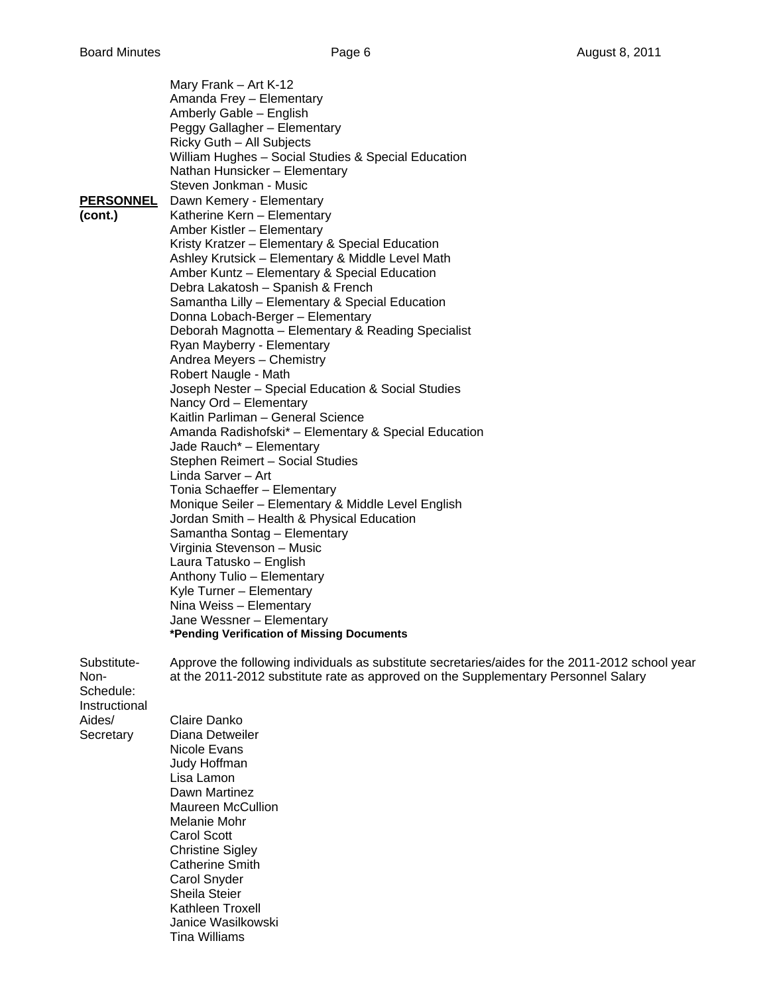| Mary Frank - Art K-12<br>Amanda Frey - Elementary<br>Amberly Gable - English<br>Peggy Gallagher - Elementary<br>Ricky Guth - All Subjects<br>William Hughes - Social Studies & Special Education<br>Nathan Hunsicker - Elementary<br>Steven Jonkman - Music<br><b>PERSONNEL</b><br>Dawn Kemery - Elementary<br>Katherine Kern - Elementary<br>Amber Kistler - Elementary<br>Kristy Kratzer - Elementary & Special Education<br>Ashley Krutsick - Elementary & Middle Level Math<br>Amber Kuntz - Elementary & Special Education<br>Debra Lakatosh - Spanish & French<br>Samantha Lilly - Elementary & Special Education<br>Donna Lobach-Berger - Elementary<br>Deborah Magnotta - Elementary & Reading Specialist<br>Ryan Mayberry - Elementary<br>Andrea Meyers - Chemistry<br>Robert Naugle - Math<br>Joseph Nester - Special Education & Social Studies<br>Nancy Ord - Elementary<br>Kaitlin Parliman - General Science<br>Amanda Radishofski* - Elementary & Special Education<br>Jade Rauch* - Elementary<br>Stephen Reimert - Social Studies<br>Linda Sarver - Art<br>Tonia Schaeffer - Elementary<br>Monique Seiler - Elementary & Middle Level English<br>Jordan Smith - Health & Physical Education<br>Samantha Sontag - Elementary<br>Virginia Stevenson - Music<br>Laura Tatusko - English<br>Anthony Tulio - Elementary<br>Kyle Turner - Elementary<br>Nina Weiss - Elementary<br>Jane Wessner - Elementary<br>*Pending Verification of Missing Documents |
|-----------------------------------------------------------------------------------------------------------------------------------------------------------------------------------------------------------------------------------------------------------------------------------------------------------------------------------------------------------------------------------------------------------------------------------------------------------------------------------------------------------------------------------------------------------------------------------------------------------------------------------------------------------------------------------------------------------------------------------------------------------------------------------------------------------------------------------------------------------------------------------------------------------------------------------------------------------------------------------------------------------------------------------------------------------------------------------------------------------------------------------------------------------------------------------------------------------------------------------------------------------------------------------------------------------------------------------------------------------------------------------------------------------------------------------------------------------------------|
| Approve the following individuals as substitute secretaries/aides for the 2011-2012 school year<br>at the 2011-2012 substitute rate as approved on the Supplementary Personnel Salary                                                                                                                                                                                                                                                                                                                                                                                                                                                                                                                                                                                                                                                                                                                                                                                                                                                                                                                                                                                                                                                                                                                                                                                                                                                                                 |
| Claire Danko<br>Diana Detweiler                                                                                                                                                                                                                                                                                                                                                                                                                                                                                                                                                                                                                                                                                                                                                                                                                                                                                                                                                                                                                                                                                                                                                                                                                                                                                                                                                                                                                                       |
| Nicole Evans<br>Judy Hoffman                                                                                                                                                                                                                                                                                                                                                                                                                                                                                                                                                                                                                                                                                                                                                                                                                                                                                                                                                                                                                                                                                                                                                                                                                                                                                                                                                                                                                                          |
| Lisa Lamon<br>Dawn Martinez                                                                                                                                                                                                                                                                                                                                                                                                                                                                                                                                                                                                                                                                                                                                                                                                                                                                                                                                                                                                                                                                                                                                                                                                                                                                                                                                                                                                                                           |
| <b>Maureen McCullion</b><br>Melanie Mohr                                                                                                                                                                                                                                                                                                                                                                                                                                                                                                                                                                                                                                                                                                                                                                                                                                                                                                                                                                                                                                                                                                                                                                                                                                                                                                                                                                                                                              |
| Carol Scott<br><b>Christine Sigley</b>                                                                                                                                                                                                                                                                                                                                                                                                                                                                                                                                                                                                                                                                                                                                                                                                                                                                                                                                                                                                                                                                                                                                                                                                                                                                                                                                                                                                                                |
| <b>Catherine Smith</b><br>Carol Snyder                                                                                                                                                                                                                                                                                                                                                                                                                                                                                                                                                                                                                                                                                                                                                                                                                                                                                                                                                                                                                                                                                                                                                                                                                                                                                                                                                                                                                                |
| <b>Sheila Steier</b><br>Kathleen Troxell                                                                                                                                                                                                                                                                                                                                                                                                                                                                                                                                                                                                                                                                                                                                                                                                                                                                                                                                                                                                                                                                                                                                                                                                                                                                                                                                                                                                                              |
| Janice Wasilkowski<br><b>Tina Williams</b>                                                                                                                                                                                                                                                                                                                                                                                                                                                                                                                                                                                                                                                                                                                                                                                                                                                                                                                                                                                                                                                                                                                                                                                                                                                                                                                                                                                                                            |
|                                                                                                                                                                                                                                                                                                                                                                                                                                                                                                                                                                                                                                                                                                                                                                                                                                                                                                                                                                                                                                                                                                                                                                                                                                                                                                                                                                                                                                                                       |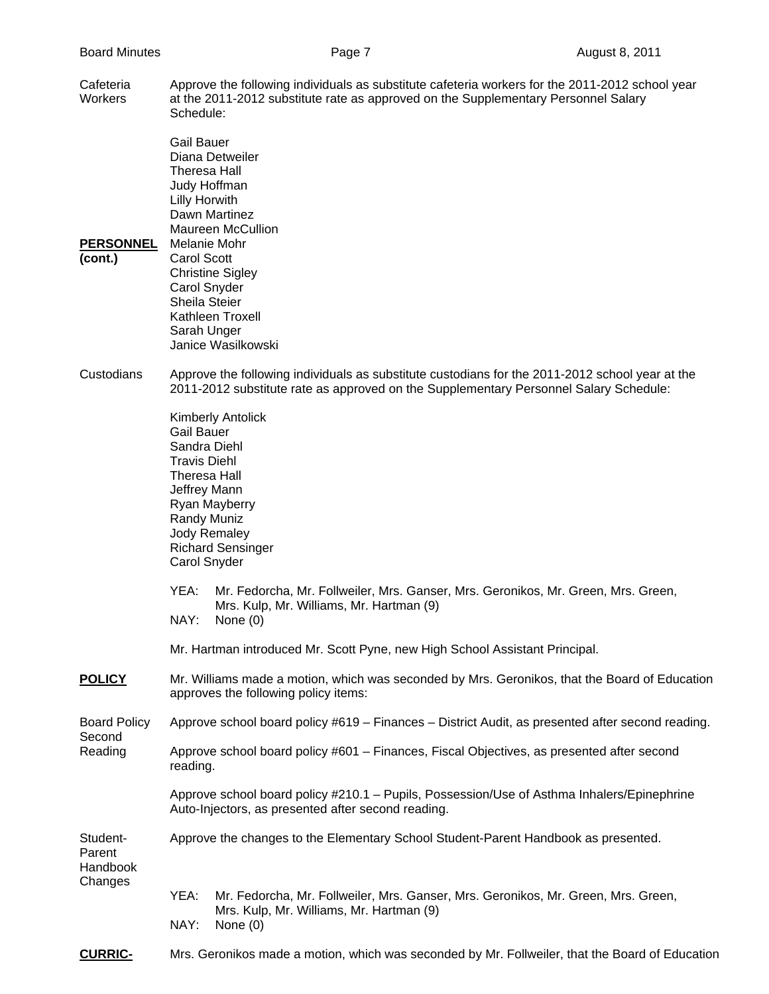Cafeteria Approve the following individuals as substitute cafeteria workers for the 2011-2012 school year Workers at the 2011-2012 substitute rate as approved on the Supplementary Personnel Salary Schedule:

 Gail Bauer Diana Detweiler Theresa Hall Judy Hoffman Lilly Horwith Dawn Martinez Maureen McCullion **PERSONNEL** Melanie Mohr Christine Sigley Carol Snyder

- **(cont.)** Carol Scott
- Sheila Steier Kathleen Troxell Sarah Unger Janice Wasilkowski
- Custodians Approve the following individuals as substitute custodians for the 2011-2012 school year at the 2011-2012 substitute rate as approved on the Supplementary Personnel Salary Schedule:

 Kimberly Antolick Gail Bauer Sandra Diehl Travis Diehl Theresa Hall Jeffrey Mann Ryan Mayberry Randy Muniz Jody Remaley Richard Sensinger

- YEA: Mr. Fedorcha, Mr. Follweiler, Mrs. Ganser, Mrs. Geronikos, Mr. Green, Mrs. Green, Mrs. Kulp, Mr. Williams, Mr. Hartman (9)
- NAY: None (0)

Carol Snyder

- Mr. Hartman introduced Mr. Scott Pyne, new High School Assistant Principal.
- **POLICY** Mr. Williams made a motion, which was seconded by Mrs. Geronikos, that the Board of Education approves the following policy items:
- Board Policy Approve school board policy #619 Finances District Audit, as presented after second reading.
- Second Reading Approve school board policy #601 – Finances, Fiscal Objectives, as presented after second reading.
	- Approve school board policy #210.1 Pupils, Possession/Use of Asthma Inhalers/Epinephrine Auto-Injectors, as presented after second reading.
- Student- Approve the changes to the Elementary School Student-Parent Handbook as presented. Parent

**Handbook** Changes

- YEA: Mr. Fedorcha, Mr. Follweiler, Mrs. Ganser, Mrs. Geronikos, Mr. Green, Mrs. Green, Mrs. Kulp, Mr. Williams, Mr. Hartman (9) NAY: None (0)
- **CURRIC-** Mrs. Geronikos made a motion, which was seconded by Mr. Follweiler, that the Board of Education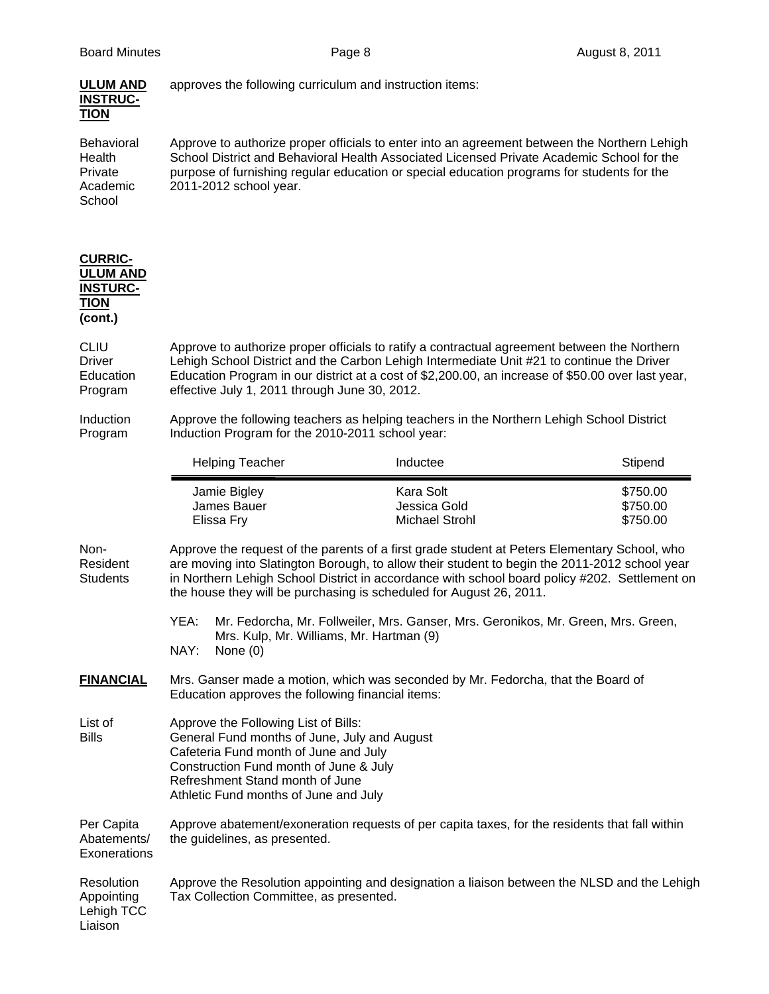| <b>ULUM AND</b><br><b>INSTRUC-</b><br><b>TION</b>                              |                                                                                                                                                                                                                                                     | approves the following curriculum and instruction items:                                                                                                                                                                                                                                                                                                              |                                  |
|--------------------------------------------------------------------------------|-----------------------------------------------------------------------------------------------------------------------------------------------------------------------------------------------------------------------------------------------------|-----------------------------------------------------------------------------------------------------------------------------------------------------------------------------------------------------------------------------------------------------------------------------------------------------------------------------------------------------------------------|----------------------------------|
| <b>Behavioral</b><br>Health<br>Private<br>Academic<br>School                   | 2011-2012 school year.                                                                                                                                                                                                                              | Approve to authorize proper officials to enter into an agreement between the Northern Lehigh<br>School District and Behavioral Health Associated Licensed Private Academic School for the<br>purpose of furnishing regular education or special education programs for students for the                                                                               |                                  |
| <b>CURRIC-</b><br><b>ULUM AND</b><br><b>INSTURC-</b><br><b>TION</b><br>(cont.) |                                                                                                                                                                                                                                                     |                                                                                                                                                                                                                                                                                                                                                                       |                                  |
| <b>CLIU</b><br><b>Driver</b><br>Education<br>Program                           | effective July 1, 2011 through June 30, 2012.                                                                                                                                                                                                       | Approve to authorize proper officials to ratify a contractual agreement between the Northern<br>Lehigh School District and the Carbon Lehigh Intermediate Unit #21 to continue the Driver<br>Education Program in our district at a cost of \$2,200.00, an increase of \$50.00 over last year,                                                                        |                                  |
| Induction<br>Program                                                           | Approve the following teachers as helping teachers in the Northern Lehigh School District<br>Induction Program for the 2010-2011 school year:                                                                                                       |                                                                                                                                                                                                                                                                                                                                                                       |                                  |
|                                                                                | <b>Helping Teacher</b>                                                                                                                                                                                                                              | Inductee                                                                                                                                                                                                                                                                                                                                                              | Stipend                          |
|                                                                                | Jamie Bigley<br>James Bauer<br>Elissa Fry                                                                                                                                                                                                           | Kara Solt<br>Jessica Gold<br><b>Michael Strohl</b>                                                                                                                                                                                                                                                                                                                    | \$750.00<br>\$750.00<br>\$750.00 |
| Non-<br>Resident<br><b>Students</b>                                            |                                                                                                                                                                                                                                                     | Approve the request of the parents of a first grade student at Peters Elementary School, who<br>are moving into Slatington Borough, to allow their student to begin the 2011-2012 school year<br>in Northern Lehigh School District in accordance with school board policy #202. Settlement on<br>the house they will be purchasing is scheduled for August 26, 2011. |                                  |
|                                                                                | YEA:<br>NAY:<br>None $(0)$                                                                                                                                                                                                                          | Mr. Fedorcha, Mr. Follweiler, Mrs. Ganser, Mrs. Geronikos, Mr. Green, Mrs. Green,<br>Mrs. Kulp, Mr. Williams, Mr. Hartman (9)                                                                                                                                                                                                                                         |                                  |
| <b>FINANCIAL</b>                                                               | Mrs. Ganser made a motion, which was seconded by Mr. Fedorcha, that the Board of<br>Education approves the following financial items:                                                                                                               |                                                                                                                                                                                                                                                                                                                                                                       |                                  |
| List of<br><b>Bills</b>                                                        | Approve the Following List of Bills:<br>General Fund months of June, July and August<br>Cafeteria Fund month of June and July<br>Construction Fund month of June & July<br>Refreshment Stand month of June<br>Athletic Fund months of June and July |                                                                                                                                                                                                                                                                                                                                                                       |                                  |
| Per Capita<br>Abatements/<br>Exonerations                                      | the guidelines, as presented.                                                                                                                                                                                                                       | Approve abatement/exoneration requests of per capita taxes, for the residents that fall within                                                                                                                                                                                                                                                                        |                                  |
| Resolution<br>Appointing<br>Lehigh TCC<br>Liaison                              | Approve the Resolution appointing and designation a liaison between the NLSD and the Lehigh<br>Tax Collection Committee, as presented.                                                                                                              |                                                                                                                                                                                                                                                                                                                                                                       |                                  |